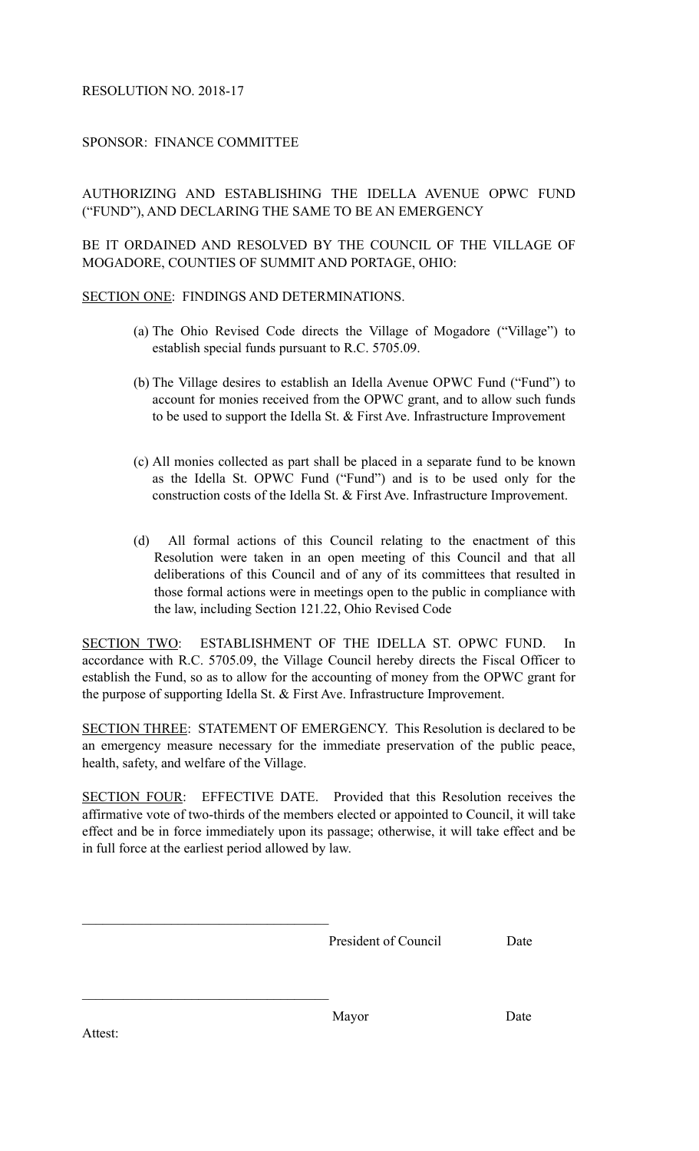## RESOLUTION NO. 2018-17

## SPONSOR: FINANCE COMMITTEE

## AUTHORIZING AND ESTABLISHING THE IDELLA AVENUE OPWC FUND ("FUND"), AND DECLARING THE SAME TO BE AN EMERGENCY

BE IT ORDAINED AND RESOLVED BY THE COUNCIL OF THE VILLAGE OF MOGADORE, COUNTIES OF SUMMIT AND PORTAGE, OHIO:

SECTION ONE: FINDINGS AND DETERMINATIONS.

- (a) The Ohio Revised Code directs the Village of Mogadore ("Village") to establish special funds pursuant to R.C. 5705.09.
- (b) The Village desires to establish an Idella Avenue OPWC Fund ("Fund") to account for monies received from the OPWC grant, and to allow such funds to be used to support the Idella St. & First Ave. Infrastructure Improvement
- (c) All monies collected as part shall be placed in a separate fund to be known as the Idella St. OPWC Fund ("Fund") and is to be used only for the construction costs of the Idella St. & First Ave. Infrastructure Improvement.
- (d) All formal actions of this Council relating to the enactment of this Resolution were taken in an open meeting of this Council and that all deliberations of this Council and of any of its committees that resulted in those formal actions were in meetings open to the public in compliance with the law, including Section 121.22, Ohio Revised Code

SECTION TWO: ESTABLISHMENT OF THE IDELLA ST. OPWC FUND. In accordance with R.C. 5705.09, the Village Council hereby directs the Fiscal Officer to establish the Fund, so as to allow for the accounting of money from the OPWC grant for the purpose of supporting Idella St. & First Ave. Infrastructure Improvement.

SECTION THREE: STATEMENT OF EMERGENCY. This Resolution is declared to be an emergency measure necessary for the immediate preservation of the public peace, health, safety, and welfare of the Village.

SECTION FOUR: EFFECTIVE DATE. Provided that this Resolution receives the affirmative vote of two-thirds of the members elected or appointed to Council, it will take effect and be in force immediately upon its passage; otherwise, it will take effect and be in full force at the earliest period allowed by law.

President of Council Date

Attest:

 $\mathcal{L}_\text{max}$ 

 $\mathcal{L}_\text{max}$ 

Mayor Date